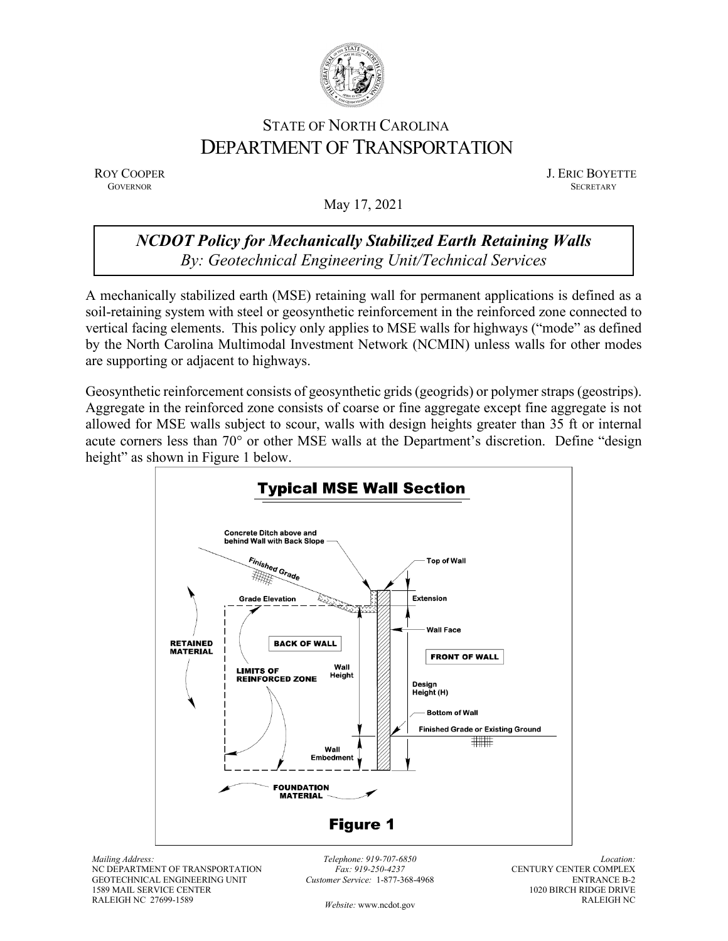

## STATE OF NORTH CAROLINA DEPARTMENT OF TRANSPORTATION

ROY COOPER J. ERIC BOYETTE GOVERNOR SECRETARY **GOVERNOR SECRETARY** SECRETARY

May 17, 2021

## *NCDOT Policy for Mechanically Stabilized Earth Retaining Walls By: Geotechnical Engineering Unit/Technical Services*

A mechanically stabilized earth (MSE) retaining wall for permanent applications is defined as a soil-retaining system with steel or geosynthetic reinforcement in the reinforced zone connected to vertical facing elements. This policy only applies to MSE walls for highways ("mode" as defined by the North Carolina Multimodal Investment Network (NCMIN) unless walls for other modes are supporting or adjacent to highways.

Geosynthetic reinforcement consists of geosynthetic grids (geogrids) or polymer straps (geostrips). Aggregate in the reinforced zone consists of coarse or fine aggregate except fine aggregate is not allowed for MSE walls subject to scour, walls with design heights greater than 35 ft or internal acute corners less than 70° or other MSE walls at the Department's discretion. Define "design height" as shown in Figure 1 below.



*Mailing Address:* NC DEPARTMENT OF TRANSPORTATION GEOTECHNICAL ENGINEERING UNIT 1589 MAIL SERVICE CENTER RALEIGH NC 27699-1589

*Telephone: 919-707-6850 Fax: 919-250-4237 Customer Service:* 1-877-368-4968

*Location:* CENTURY CENTER COMPLEX ENTRANCE B-2 1020 BIRCH RIDGE DRIVE RALEIGH NC

*Website:* [www.ncdot.gov](http://www.ncdot.gov/)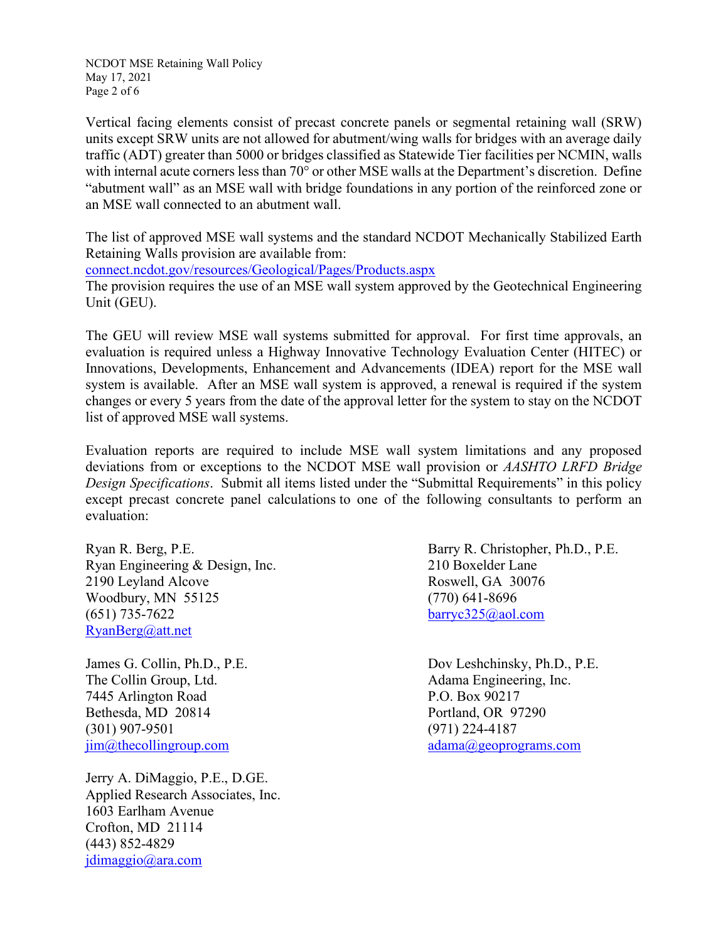NCDOT MSE Retaining Wall Policy May 17, 2021 Page 2 of 6

Vertical facing elements consist of precast concrete panels or segmental retaining wall (SRW) units except SRW units are not allowed for abutment/wing walls for bridges with an average daily traffic (ADT) greater than 5000 or bridges classified as Statewide Tier facilities per NCMIN, walls with internal acute corners less than 70° or other MSE walls at the Department's discretion. Define "abutment wall" as an MSE wall with bridge foundations in any portion of the reinforced zone or an MSE wall connected to an abutment wall.

The list of approved MSE wall systems and the standard NCDOT Mechanically Stabilized Earth Retaining Walls provision are available from:

[connect.ncdot.gov/resources/Geological/Pages/Products.aspx](https://connect.ncdot.gov/resources/Geological/Pages/Products.aspx)

The provision requires the use of an MSE wall system approved by the Geotechnical Engineering Unit (GEU).

The GEU will review MSE wall systems submitted for approval. For first time approvals, an evaluation is required unless a Highway Innovative Technology Evaluation Center (HITEC) or Innovations, Developments, Enhancement and Advancements (IDEA) report for the MSE wall system is available. After an MSE wall system is approved, a renewal is required if the system changes or every 5 years from the date of the approval letter for the system to stay on the NCDOT list of approved MSE wall systems.

Evaluation reports are required to include MSE wall system limitations and any proposed deviations from or exceptions to the NCDOT MSE wall provision or *AASHTO LRFD Bridge Design Specifications*. Submit all items listed under the "Submittal Requirements" in this policy except precast concrete panel calculations to one of the following consultants to perform an evaluation:

Ryan R. Berg, P.E. Barry R. Christopher, Ph.D., P.E. Ryan Engineering & Design, Inc. 210 Boxelder Lane 2190 Leyland Alcove Roswell, GA 30076 Woodbury, MN 55125 (770) 641-8696 (651) 735-7622 [barryc325@aol.com](mailto:barryc325@aol.com) [RyanBerg@att.net](mailto:RyanBerg@att.net)

The Collin Group, Ltd. Adama Engineering, Inc. 7445 Arlington Road P.O. Box 90217 Bethesda, MD 20814 **Portland, OR 97290** (301) 907-9501 (971) 224-4187  $\lim_{a \to a}$   $\lim_{b \to a}$   $\lim_{b \to a}$   $\lim_{c \to a}$   $\lim_{c \to a}$   $\lim_{c \to a}$   $\lim_{c \to a}$   $\lim_{c \to a}$   $\lim_{c \to a}$   $\lim_{c \to a}$   $\lim_{c \to a}$   $\lim_{c \to a}$   $\lim_{c \to a}$   $\lim_{c \to a}$   $\lim_{c \to a}$   $\lim_{c \to a}$   $\lim_{c \to a}$   $\lim_{c \to a}$   $\lim_{c \to a}$   $\lim_{c \to a}$ 

Jerry A. DiMaggio, P.E., D.GE. Applied Research Associates, Inc. 1603 Earlham Avenue Crofton, MD 21114 (443) 852-4829 [jdimaggio@ara.com](mailto:jdimaggio@ara.com)

James G. Collin, Ph.D., P.E. Dov Leshchinsky, Ph.D., P.E.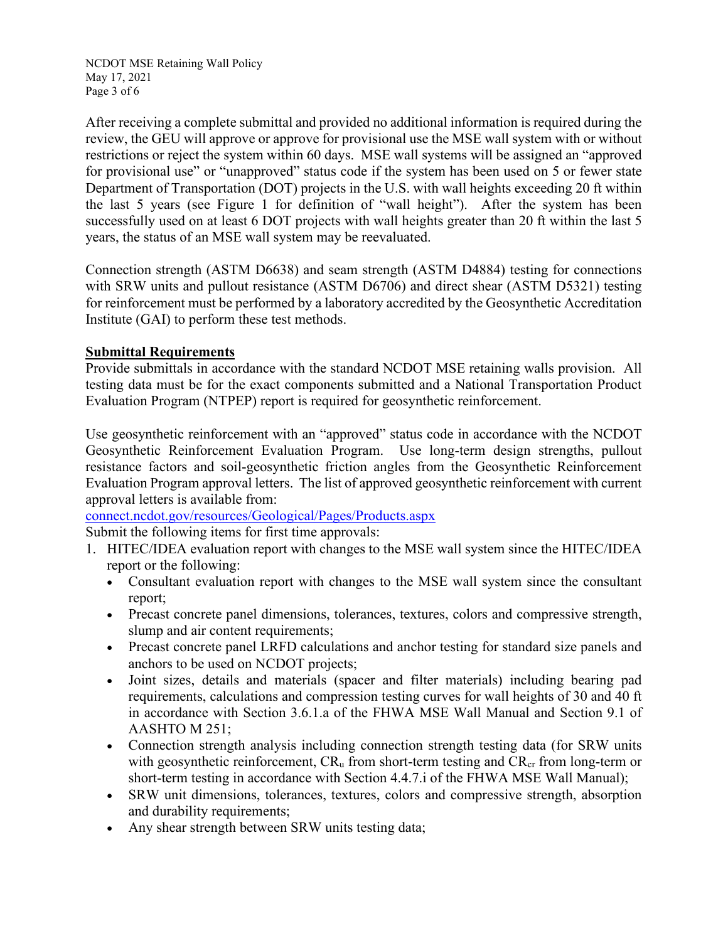NCDOT MSE Retaining Wall Policy May 17, 2021 Page 3 of 6

After receiving a complete submittal and provided no additional information is required during the review, the GEU will approve or approve for provisional use the MSE wall system with or without restrictions or reject the system within 60 days. MSE wall systems will be assigned an "approved for provisional use" or "unapproved" status code if the system has been used on 5 or fewer state Department of Transportation (DOT) projects in the U.S. with wall heights exceeding 20 ft within the last 5 years (see Figure 1 for definition of "wall height"). After the system has been successfully used on at least 6 DOT projects with wall heights greater than 20 ft within the last 5 years, the status of an MSE wall system may be reevaluated.

Connection strength (ASTM D6638) and seam strength (ASTM D4884) testing for connections with SRW units and pullout resistance (ASTM D6706) and direct shear (ASTM D5321) testing for reinforcement must be performed by a laboratory accredited by the Geosynthetic Accreditation Institute (GAI) to perform these test methods.

## **Submittal Requirements**

Provide submittals in accordance with the standard NCDOT MSE retaining walls provision. All testing data must be for the exact components submitted and a National Transportation Product Evaluation Program (NTPEP) report is required for geosynthetic reinforcement.

Use geosynthetic reinforcement with an "approved" status code in accordance with the NCDOT Geosynthetic Reinforcement Evaluation Program. Use long-term design strengths, pullout resistance factors and soil-geosynthetic friction angles from the Geosynthetic Reinforcement Evaluation Program approval letters. The list of approved geosynthetic reinforcement with current approval letters is available from:

[connect.ncdot.gov/resources/Geological/Pages/Products.aspx](https://connect.ncdot.gov/resources/Geological/Pages/Products.aspx)

Submit the following items for first time approvals:

- 1. HITEC/IDEA evaluation report with changes to the MSE wall system since the HITEC/IDEA report or the following:
	- Consultant evaluation report with changes to the MSE wall system since the consultant report;
	- Precast concrete panel dimensions, tolerances, textures, colors and compressive strength, slump and air content requirements;
	- Precast concrete panel LRFD calculations and anchor testing for standard size panels and anchors to be used on NCDOT projects;
	- Joint sizes, details and materials (spacer and filter materials) including bearing pad requirements, calculations and compression testing curves for wall heights of 30 and 40 ft in accordance with Section 3.6.1.a of the FHWA MSE Wall Manual and Section 9.1 of AASHTO M 251;
	- Connection strength analysis including connection strength testing data (for SRW units with geosynthetic reinforcement,  $CR_u$  from short-term testing and  $CR_{cr}$  from long-term or short-term testing in accordance with Section 4.4.7.i of the FHWA MSE Wall Manual);
	- SRW unit dimensions, tolerances, textures, colors and compressive strength, absorption and durability requirements;
	- Any shear strength between SRW units testing data;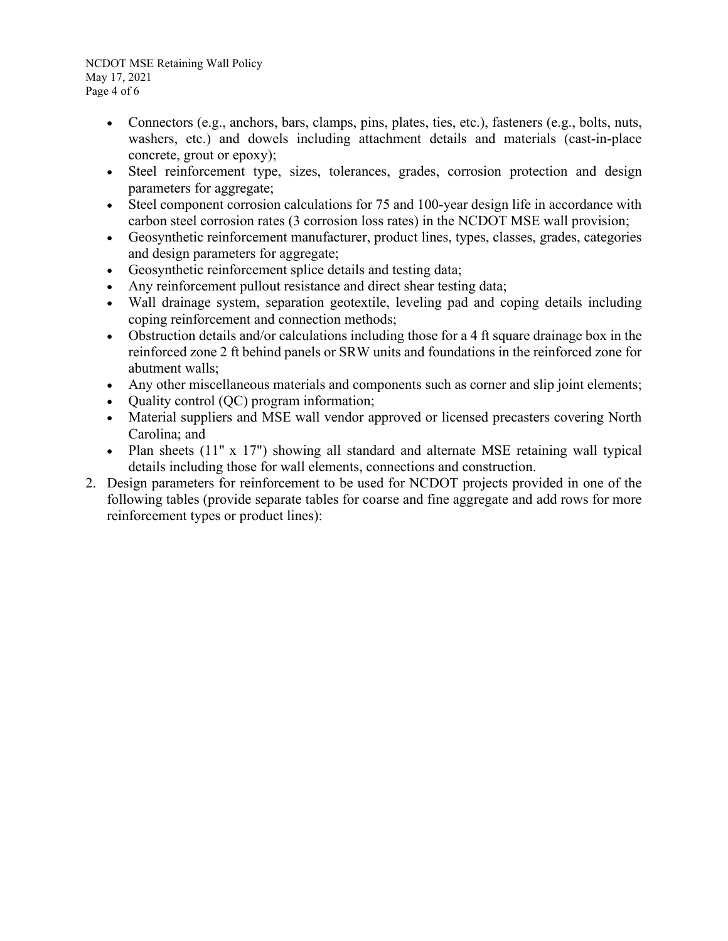NCDOT MSE Retaining Wall Policy May 17, 2021 Page 4 of 6

- Connectors (e.g., anchors, bars, clamps, pins, plates, ties, etc.), fasteners (e.g., bolts, nuts, washers, etc.) and dowels including attachment details and materials (cast-in-place concrete, grout or epoxy);
- Steel reinforcement type, sizes, tolerances, grades, corrosion protection and design parameters for aggregate;
- Steel component corrosion calculations for 75 and 100-year design life in accordance with carbon steel corrosion rates (3 corrosion loss rates) in the NCDOT MSE wall provision;
- Geosynthetic reinforcement manufacturer, product lines, types, classes, grades, categories and design parameters for aggregate;
- Geosynthetic reinforcement splice details and testing data;
- Any reinforcement pullout resistance and direct shear testing data;
- Wall drainage system, separation geotextile, leveling pad and coping details including coping reinforcement and connection methods;
- Obstruction details and/or calculations including those for a 4 ft square drainage box in the reinforced zone 2 ft behind panels or SRW units and foundations in the reinforced zone for abutment walls;
- Any other miscellaneous materials and components such as corner and slip joint elements;
- Quality control (QC) program information;
- Material suppliers and MSE wall vendor approved or licensed precasters covering North Carolina; and
- Plan sheets (11" x 17") showing all standard and alternate MSE retaining wall typical details including those for wall elements, connections and construction.
- 2. Design parameters for reinforcement to be used for NCDOT projects provided in one of the following tables (provide separate tables for coarse and fine aggregate and add rows for more reinforcement types or product lines):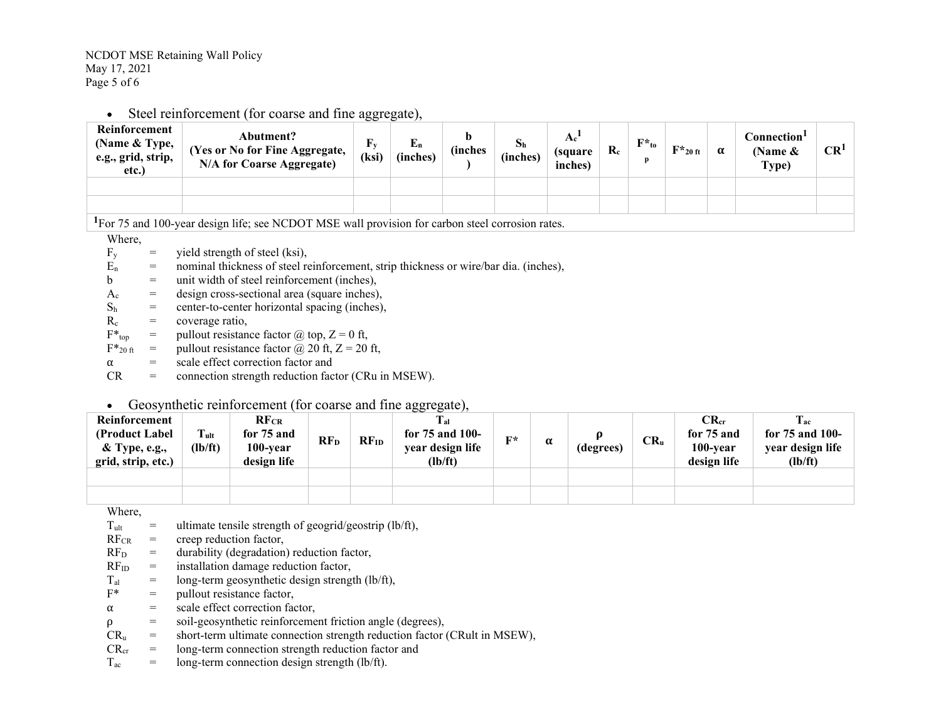• Steel reinforcement (for coarse and fine aggregate),

| Reinforcement<br>(Name & Type,<br>e.g., grid, strip,<br>etc.)                                                | Abutment?<br>(Yes or No for Fine Aggregate,<br><b>N/A for Coarse Aggregate)</b> | $F_y$<br>(ksi) | ${\bf E_n}$<br>(inches) | h<br><i><b>(inches)</b></i> | $S_h$<br>(inches) | (square<br>inches) | $\mathbf{R}_{c}$ | $F^*_{\text{to}}$ | $F*_{20 \text{ ft}}$ | α | Connection <sup>1</sup><br>(Name $\&$<br>Type) | CR <sup>1</sup> |
|--------------------------------------------------------------------------------------------------------------|---------------------------------------------------------------------------------|----------------|-------------------------|-----------------------------|-------------------|--------------------|------------------|-------------------|----------------------|---|------------------------------------------------|-----------------|
|                                                                                                              |                                                                                 |                |                         |                             |                   |                    |                  |                   |                      |   |                                                |                 |
|                                                                                                              |                                                                                 |                |                         |                             |                   |                    |                  |                   |                      |   |                                                |                 |
| <sup>1</sup> For 75 and 100-year design life; see NCDOT MSE wall provision for carbon steel corrosion rates. |                                                                                 |                |                         |                             |                   |                    |                  |                   |                      |   |                                                |                 |

Where,

- $F_v$  = yield strength of steel (ksi),
- $E_n$  = nominal thickness of steel reinforcement, strip thickness or wire/bar dia. (inches),
- $b =$  unit width of steel reinforcement (inches),
- $A_c$  = design cross-sectional area (square inches),
- $S<sub>h</sub>$  = center-to-center horizontal spacing (inches),
- $R_c$  = coverage ratio,
- $F^*_{top}$  = pullout resistance factor  $\omega$  top,  $Z = 0$  ft,
- $F*_{20 \text{ ft}}$  = pullout resistance factor  $\omega$  20 ft, Z = 20 ft,
- $\alpha$  = scale effect correction factor and<br>CR = connection strength reduction factor
- connection strength reduction factor (CRu in MSEW).

## • Geosynthetic reinforcement (for coarse and fine aggregate),

| Reinforcement<br>(Product Label)<br>& Type, e.g.,<br>grid, strip, etc.) | $T_{ult}$<br>(lb/ft) | $RF_{CR}$<br>for 75 and<br>100-year<br>design life | RF <sub>D</sub> | $RF_{ID}$ | $T_{\rm al}$<br>for $75$ and $100$ -<br>year design life<br>(lb/ft) | $\Gamma^*$ | α | (degrees) | $CR_u$ | $CR_{cr}$<br>for 75 and<br>100-year<br>design life | $T_{ac}$<br>for 75 and 100-<br>year design life<br>(lb/ft) |
|-------------------------------------------------------------------------|----------------------|----------------------------------------------------|-----------------|-----------|---------------------------------------------------------------------|------------|---|-----------|--------|----------------------------------------------------|------------------------------------------------------------|
|                                                                         |                      |                                                    |                 |           |                                                                     |            |   |           |        |                                                    |                                                            |
|                                                                         |                      |                                                    |                 |           |                                                                     |            |   |           |        |                                                    |                                                            |

Where,

- $T_{ult}$  = ultimate tensile strength of geogrid/geostrip (lb/ft),
- $RF_{CR}$  = creep reduction factor,<br> $RF_D$  = durability (degradation
- $=$  durability (degradation) reduction factor,
- $RF_{ID}$  = installation damage reduction factor,
- $T_{\text{al}}$  = long-term geosynthetic design strength (lb/ft),<br>  $F^*$  = pullout resistance factor.
- $=$  pullout resistance factor,
- $\alpha$  = scale effect correction factor,<br>  $\rho$  = soil-geosynthetic reinforceme
- $\rho$  = soil-geosynthetic reinforcement friction angle (degrees),<br>CR<sub>u</sub> = short-term ultimate connection strength reduction factor
- short-term ultimate connection strength reduction factor (CRult in MSEW),
- $CR<sub>cr</sub>$  = long-term connection strength reduction factor and
- $T_{ac}$  = long-term connection design strength (lb/ft).